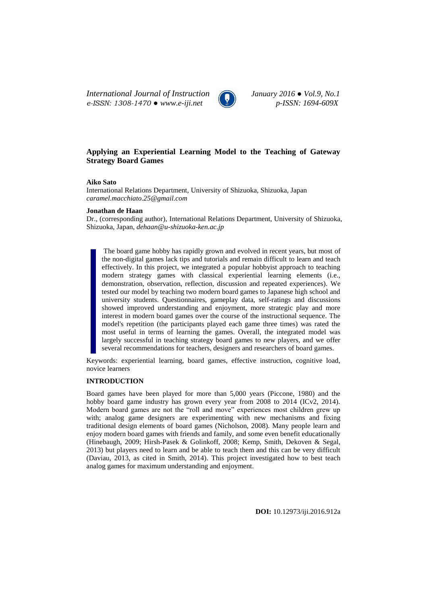*International Journal of Instruction January 2016 ● Vol.9, No.1 e-ISSN: 1308-1470 ● www.e-iji.net p-ISSN: 1694-609X*



# **Applying an Experiential Learning Model to the Teaching of Gateway Strategy Board Games**

#### **Aiko Sato**

International Relations Department, University of Shizuoka, Shizuoka, Japan *caramel.macchiato.25@gmail.com*

#### **Jonathan de Haan**

Dr., (corresponding author), International Relations Department, University of Shizuoka, Shizuoka, Japan, *dehaan@u-shizuoka-ken.ac.jp*

The board game hobby has rapidly grown and evolved in recent years, but most of the non-digital games lack tips and tutorials and remain difficult to learn and teach effectively. In this project, we integrated a popular hobbyist approach to teaching modern strategy games with classical experiential learning elements (i.e., demonstration, observation, reflection, discussion and repeated experiences). We tested our model by teaching two modern board games to Japanese high school and university students. Questionnaires, gameplay data, self-ratings and discussions showed improved understanding and enjoyment, more strategic play and more interest in modern board games over the course of the instructional sequence. The model's repetition (the participants played each game three times) was rated the most useful in terms of learning the games. Overall, the integrated model was largely successful in teaching strategy board games to new players, and we offer several recommendations for teachers, designers and researchers of board games.

Keywords: experiential learning, board games, effective instruction, cognitive load, novice learners

## **INTRODUCTION**

Board games have been played for more than 5,000 years (Piccone, 1980) and the hobby board game industry has grown every year from 2008 to 2014 (ICv2, 2014). Modern board games are not the "roll and move" experiences most children grew up with; analog game designers are experimenting with new mechanisms and fixing traditional design elements of board games (Nicholson, 2008). Many people learn and enjoy modern board games with friends and family, and some even benefit educationally (Hinebaugh, 2009; Hirsh-Pasek & Golinkoff, 2008; Kemp, Smith, Dekoven & Segal, 2013) but players need to learn and be able to teach them and this can be very difficult (Daviau, 2013, as cited in Smith, 2014). This project investigated how to best teach analog games for maximum understanding and enjoyment.

**DOI:** 10.12973/iji.2016.912a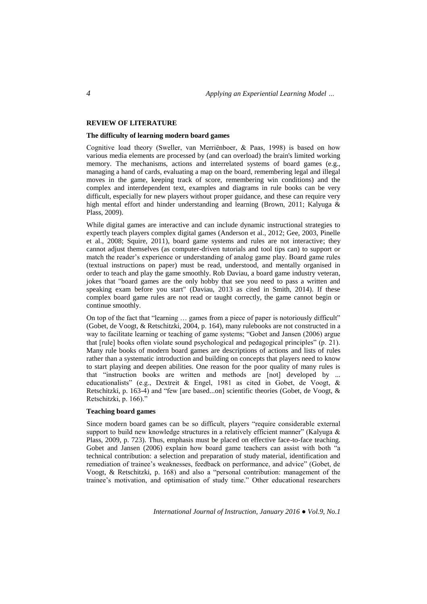## **REVIEW OF LITERATURE**

### **The difficulty of learning modern board games**

Cognitive load theory (Sweller, van Merriënboer, & Paas, 1998) is based on how various media elements are processed by (and can overload) the brain's limited working memory. The mechanisms, actions and interrelated systems of board games (e.g., managing a hand of cards, evaluating a map on the board, remembering legal and illegal moves in the game, keeping track of score, remembering win conditions) and the complex and interdependent text, examples and diagrams in rule books can be very difficult, especially for new players without proper guidance, and these can require very high mental effort and hinder understanding and learning (Brown, 2011; Kalyuga & Plass, 2009).

While digital games are interactive and can include dynamic instructional strategies to expertly teach players complex digital games (Anderson et al., 2012; Gee, 2003, Pinelle et al., 2008; Squire, 2011), board game systems and rules are not interactive; they cannot adjust themselves (as computer-driven tutorials and tool tips can) to support or match the reader's experience or understanding of analog game play. Board game rules (textual instructions on paper) must be read, understood, and mentally organised in order to teach and play the game smoothly. Rob Daviau, a board game industry veteran, jokes that "board games are the only hobby that see you need to pass a written and speaking exam before you start" (Daviau, 2013 as cited in Smith, 2014). If these complex board game rules are not read or taught correctly, the game cannot begin or continue smoothly.

On top of the fact that "learning  $\ldots$  games from a piece of paper is notoriously difficult" (Gobet, de Voogt, & Retschitzki, 2004, p. 164), many rulebooks are not constructed in a way to facilitate learning or teaching of game systems; "Gobet and Jansen (2006) argue that  $[rule]$  books often violate sound psychological and pedagogical principles"  $(p. 21)$ . Many rule books of modern board games are descriptions of actions and lists of rules rather than a systematic introduction and building on concepts that players need to know to start playing and deepen abilities. One reason for the poor quality of many rules is that "instruction books are written and methods are [not] developed by ... educationalists" (e.g., Dextreit & Engel, 1981 as cited in Gobet, de Voogt, & Retschitzki, p. 163-4) and "few [are based...on] scientific theories (Gobet, de Voogt,  $\&$ Retschitzki, p. 166)."

### **Teaching board games**

Since modern board games can be so difficult, players "require considerable external support to build new knowledge structures in a relatively efficient manner" (Kalyuga & Plass, 2009, p. 723). Thus, emphasis must be placed on effective face-to-face teaching. Gobet and Jansen (2006) explain how board game teachers can assist with both "a technical contribution: a selection and preparation of study material, identification and remediation of trainee's weaknesses, feedback on performance, and advice" (Gobet, de Voogt, & Retschitzki, p. 168) and also a "personal contribution: management of the trainee's motivation, and optimisation of study time." Other educational researchers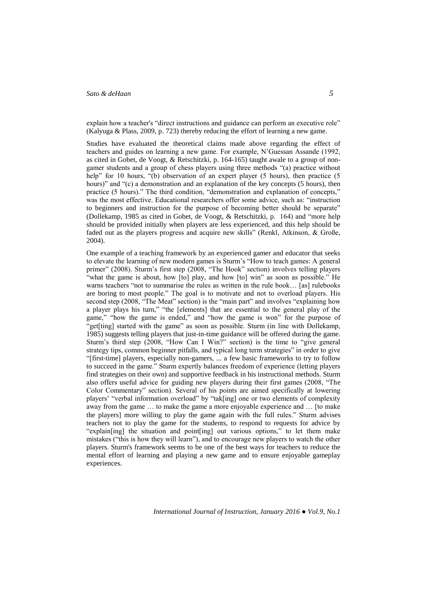explain how a teacher's "direct instructions and guidance can perform an executive role" (Kalyuga & Plass, 2009, p. 723) thereby reducing the effort of learning a new game.

Studies have evaluated the theoretical claims made above regarding the effect of teachers and guides on learning a new game. For example, N'Guessan Assande (1992, as cited in Gobet, de Voogt, & Retschitzki, p. 164-165) taught awale to a group of nongamer students and a group of chess players using three methods "(a) practice without help" for 10 hours, "(b) observation of an expert player (5 hours), then practice (5 hours)" and "(c) a demonstration and an explanation of the key concepts (5 hours), then practice (5 hours)." The third condition, "demonstration and explanation of concepts," was the most effective. Educational researchers offer some advice, such as: "instruction to beginners and instruction for the purpose of becoming better should be separate" (Dollekamp, 1985 as cited in Gobet, de Voogt, & Retschitzki, p. 164) and "more help should be provided initially when players are less experienced, and this help should be faded out as the players progress and acquire new skills" (Renkl, Atkinson, & Große, 2004).

One example of a teaching framework by an experienced gamer and educator that seeks to elevate the learning of new modern games is Sturm's "How to teach games: A general primer" (2008). Sturm's first step (2008, "The Hook" section) involves telling players "what the game is about, how [to] play, and how [to] win" as soon as possible." He warns teachers "not to summarise the rules as written in the rule book... [as] rulebooks are boring to most people." The goal is to motivate and not to overload players. His second step (2008, "The Meat" section) is the "main part" and involves "explaining how a player plays his turn," "the [elements] that are essential to the general play of the game," "how the game is ended," and "how the game is won" for the purpose of "get[ting] started with the game" as soon as possible. Sturm (in line with Dollekamp, 1985) suggests telling players that just-in-time guidance will be offered during the game. Sturm's third step (2008, "How Can I Win?" section) is the time to "give general strategy tips, common beginner pitfalls, and typical long term strategies" in order to give ―[first-time] players, especially non-gamers, ... a few basic frameworks to try to follow to succeed in the game.‖ Sturm expertly balances freedom of experience (letting players find strategies on their own) and supportive feedback in his instructional methods. Sturm also offers useful advice for guiding new players during their first games (2008, "The Color Commentary" section). Several of his points are aimed specifically at lowering players' "verbal information overload" by "tak[ing] one or two elements of complexity away from the game … to make the game a more enjoyable experience and … [to make the players] more willing to play the game again with the full rules." Sturm advises teachers not to play the game for the students, to respond to requests for advice by "explain[ing] the situation and point[ing] out various options," to let them make mistakes ("this is how they will learn"), and to encourage new players to watch the other players. Sturm's framework seems to be one of the best ways for teachers to reduce the mental effort of learning and playing a new game and to ensure enjoyable gameplay experiences.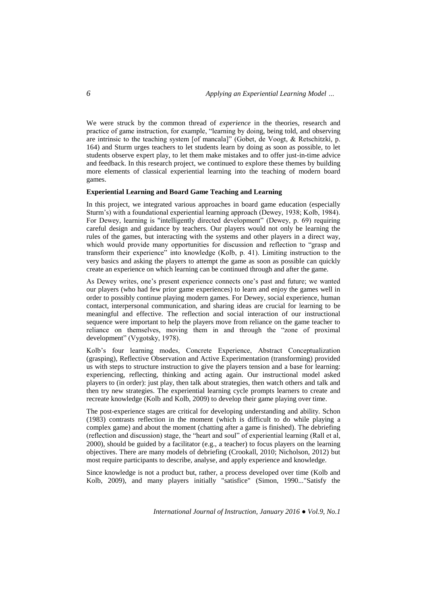We were struck by the common thread of *experience* in the theories, research and practice of game instruction, for example, "learning by doing, being told, and observing are intrinsic to the teaching system [of mancala]" (Gobet, de Voogt,  $\&$  Retschitzki, p. 164) and Sturm urges teachers to let students learn by doing as soon as possible, to let students observe expert play, to let them make mistakes and to offer just-in-time advice and feedback. In this research project, we continued to explore these themes by building more elements of classical experiential learning into the teaching of modern board games.

### **Experiential Learning and Board Game Teaching and Learning**

In this project, we integrated various approaches in board game education (especially Sturm's) with a foundational experiential learning approach (Dewey, 1938; Kolb, 1984). For Dewey, learning is "intelligently directed development" (Dewey, p. 69) requiring careful design and guidance by teachers. Our players would not only be learning the rules of the games, but interacting with the systems and other players in a direct way, which would provide many opportunities for discussion and reflection to "grasp and transform their experience" into knowledge (Kolb, p. 41). Limiting instruction to the very basics and asking the players to attempt the game as soon as possible can quickly create an experience on which learning can be continued through and after the game.

As Dewey writes, one's present experience connects one's past and future; we wanted our players (who had few prior game experiences) to learn and enjoy the games well in order to possibly continue playing modern games. For Dewey, social experience, human contact, interpersonal communication, and sharing ideas are crucial for learning to be meaningful and effective. The reflection and social interaction of our instructional sequence were important to help the players move from reliance on the game teacher to reliance on themselves, moving them in and through the "zone of proximal development" (Vygotsky, 1978).

Kolb's four learning modes, Concrete Experience, Abstract Conceptualization (grasping), Reflective Observation and Active Experimentation (transforming) provided us with steps to structure instruction to give the players tension and a base for learning: experiencing, reflecting, thinking and acting again. Our instructional model asked players to (in order): just play, then talk about strategies, then watch others and talk and then try new strategies. The experiential learning cycle prompts learners to create and recreate knowledge (Kolb and Kolb, 2009) to develop their game playing over time.

The post-experience stages are critical for developing understanding and ability. Schon (1983) contrasts reflection in the moment (which is difficult to do while playing a complex game) and about the moment (chatting after a game is finished). The debriefing (reflection and discussion) stage, the "heart and soul" of experiential learning (Rall et al, 2000), should be guided by a facilitator (e.g., a teacher) to focus players on the learning objectives. There are many models of debriefing (Crookall, 2010; Nicholson, 2012) but most require participants to describe, analyse, and apply experience and knowledge.

Since knowledge is not a product but, rather, a process developed over time (Kolb and Kolb, 2009), and many players initially "satisfice" (Simon, 1990..."Satisfy the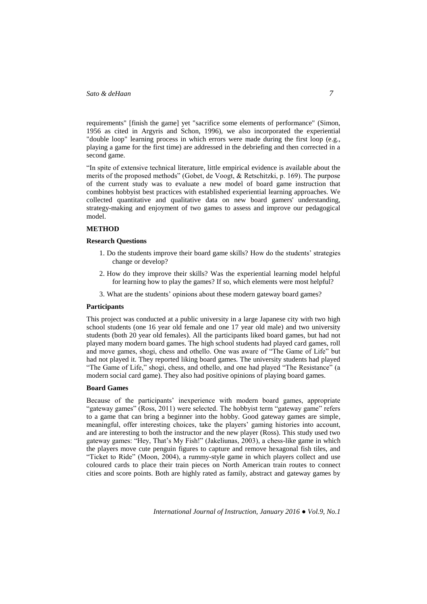requirements" [finish the game] yet "sacrifice some elements of performance" (Simon, 1956 as cited in Argyris and Schon, 1996), we also incorporated the experiential "double loop" learning process in which errors were made during the first loop (e.g., playing a game for the first time) are addressed in the debriefing and then corrected in a second game.

―In spite of extensive technical literature, little empirical evidence is available about the merits of the proposed methods" (Gobet, de Voogt, & Retschitzki, p. 169). The purpose of the current study was to evaluate a new model of board game instruction that combines hobbyist best practices with established experiential learning approaches. We collected quantitative and qualitative data on new board gamers' understanding, strategy-making and enjoyment of two games to assess and improve our pedagogical model.

### **METHOD**

### **Research Questions**

- 1. Do the students improve their board game skills? How do the students' strategies change or develop?
- 2. How do they improve their skills? Was the experiential learning model helpful for learning how to play the games? If so, which elements were most helpful?
- 3. What are the students' opinions about these modern gateway board games?

#### **Participants**

This project was conducted at a public university in a large Japanese city with two high school students (one 16 year old female and one 17 year old male) and two university students (both 20 year old females). All the participants liked board games, but had not played many modern board games. The high school students had played card games, roll and move games, shogi, chess and othello. One was aware of "The Game of Life" but had not played it. They reported liking board games. The university students had played "The Game of Life," shogi, chess, and othello, and one had played "The Resistance" (a modern social card game). They also had positive opinions of playing board games.

### **Board Games**

Because of the participants' inexperience with modern board games, appropriate "gateway games" (Ross, 2011) were selected. The hobbyist term "gateway game" refers to a game that can bring a beginner into the hobby. Good gateway games are simple, meaningful, offer interesting choices, take the players' gaming histories into account, and are interesting to both the instructor and the new player (Ross). This study used two gateway games: "Hey, That's My Fish!" (Jakeliunas, 2003), a chess-like game in which the players move cute penguin figures to capture and remove hexagonal fish tiles, and ―Ticket to Ride‖ (Moon, 2004), a rummy-style game in which players collect and use coloured cards to place their train pieces on North American train routes to connect cities and score points. Both are highly rated as family, abstract and gateway games by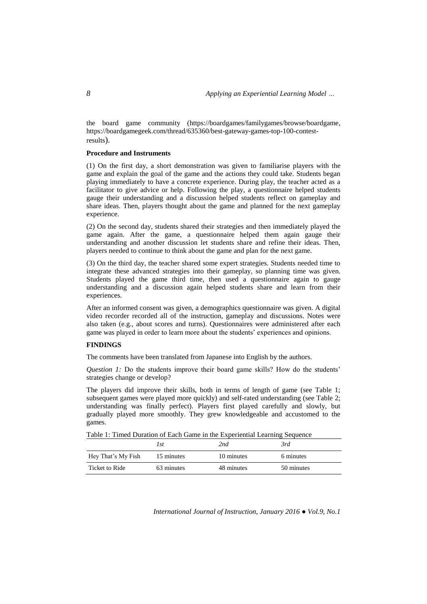the board game community [\(https://boardgames/familygames/browse/boardgame,](https://boardgamegeek.com/familygames/browse/boardgame) [https://boardgamegeek.com/thread/635360/best-gateway-games-top-100-contest](https://boardgamegeek.com/thread/635360/best-gateway-games-top-100-contest-results)[results](https://boardgamegeek.com/thread/635360/best-gateway-games-top-100-contest-results)).

### **Procedure and Instruments**

(1) On the first day, a short demonstration was given to familiarise players with the game and explain the goal of the game and the actions they could take. Students began playing immediately to have a concrete experience. During play, the teacher acted as a facilitator to give advice or help. Following the play, a questionnaire helped students gauge their understanding and a discussion helped students reflect on gameplay and share ideas. Then, players thought about the game and planned for the next gameplay experience.

(2) On the second day, students shared their strategies and then immediately played the game again. After the game, a questionnaire helped them again gauge their understanding and another discussion let students share and refine their ideas. Then, players needed to continue to think about the game and plan for the next game.

(3) On the third day, the teacher shared some expert strategies. Students needed time to integrate these advanced strategies into their gameplay, so planning time was given. Students played the game third time, then used a questionnaire again to gauge understanding and a discussion again helped students share and learn from their experiences.

After an informed consent was given, a demographics questionnaire was given. A digital video recorder recorded all of the instruction, gameplay and discussions. Notes were also taken (e.g., about scores and turns). Questionnaires were administered after each game was played in order to learn more about the students' experiences and opinions.

## **FINDINGS**

The comments have been translated from Japanese into English by the authors.

*Question 1:* Do the students improve their board game skills? How do the students' strategies change or develop?

The players did improve their skills, both in terms of length of game (see Table 1; subsequent games were played more quickly) and self-rated understanding (see Table 2; understanding was finally perfect). Players first played carefully and slowly, but gradually played more smoothly. They grew knowledgeable and accustomed to the games.

|  |  |  |  | Table 1: Timed Duration of Each Game in the Experiential Learning Sequence |
|--|--|--|--|----------------------------------------------------------------------------|
|  |  |  |  |                                                                            |

|                    | l st       | 2nd        | 3rd        |
|--------------------|------------|------------|------------|
| Hey That's My Fish | 15 minutes | 10 minutes | 6 minutes  |
| Ticket to Ride     | 63 minutes | 48 minutes | 50 minutes |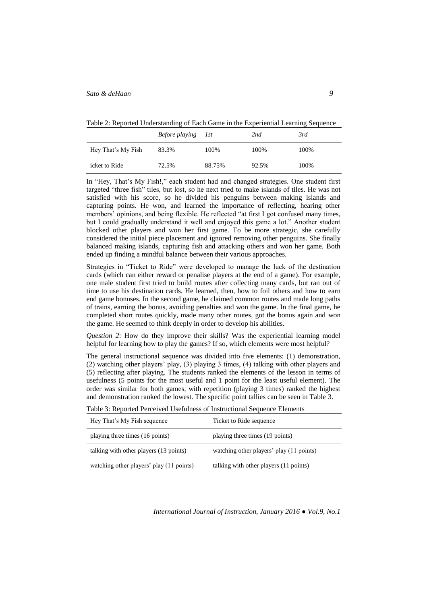Table 2: Reported Understanding of Each Game in the Experiential Learning Sequence

|                    | Before playing 1st |        | 2nd   | 3rd  |
|--------------------|--------------------|--------|-------|------|
| Hey That's My Fish | 83.3%              | 100%   | 100%  | 100% |
| icket to Ride      | 72.5%              | 88.75% | 92.5% | 100% |

In "Hey, That's My Fish!," each student had and changed strategies. One student first targeted "three fish" tiles, but lost, so he next tried to make islands of tiles. He was not satisfied with his score, so he divided his penguins between making islands and capturing points. He won, and learned the importance of reflecting, hearing other members' opinions, and being flexible. He reflected "at first I got confused many times, but I could gradually understand it well and enjoyed this game a lot." Another student blocked other players and won her first game. To be more strategic, she carefully considered the initial piece placement and ignored removing other penguins. She finally balanced making islands, capturing fish and attacking others and won her game. Both ended up finding a mindful balance between their various approaches.

Strategies in "Ticket to Ride" were developed to manage the luck of the destination cards (which can either reward or penalise players at the end of a game). For example, one male student first tried to build routes after collecting many cards, but ran out of time to use his destination cards. He learned, then, how to foil others and how to earn end game bonuses. In the second game, he claimed common routes and made long paths of trains, earning the bonus, avoiding penalties and won the game. In the final game, he completed short routes quickly, made many other routes, got the bonus again and won the game. He seemed to think deeply in order to develop his abilities.

*Question 2*: How do they improve their skills? Was the experiential learning model helpful for learning how to play the games? If so, which elements were most helpful?

The general instructional sequence was divided into five elements: (1) demonstration, (2) watching other players' play, (3) playing 3 times, (4) talking with other players and (5) reflecting after playing. The students ranked the elements of the lesson in terms of usefulness (5 points for the most useful and 1 point for the least useful element). The order was similar for both games, with repetition (playing 3 times) ranked the highest and demonstration ranked the lowest. The specific point tallies can be seen in Table 3.

|  | Table 3: Reported Perceived Usefulness of Instructional Sequence Elements |  |
|--|---------------------------------------------------------------------------|--|
|--|---------------------------------------------------------------------------|--|

| Hey That's My Fish sequence              | Ticket to Ride sequence                  |
|------------------------------------------|------------------------------------------|
| playing three times (16 points)          | playing three times (19 points)          |
| talking with other players (13 points)   | watching other players' play (11 points) |
| watching other players' play (11 points) | talking with other players (11 points)   |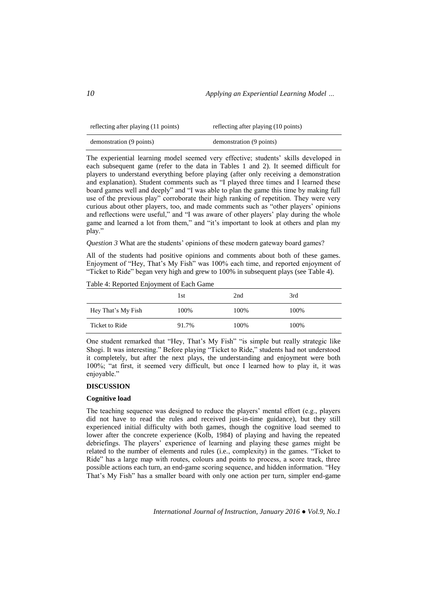| reflecting after playing (11 points) | reflecting after playing (10 points) |
|--------------------------------------|--------------------------------------|
| demonstration (9 points)             | demonstration (9 points)             |

The experiential learning model seemed very effective; students' skills developed in each subsequent game (refer to the data in Tables 1 and 2). It seemed difficult for players to understand everything before playing (after only receiving a demonstration and explanation). Student comments such as "I played three times and I learned these board games well and deeply" and "I was able to plan the game this time by making full use of the previous play" corroborate their high ranking of repetition. They were very curious about other players, too, and made comments such as "other players' opinions and reflections were useful," and "I was aware of other players' play during the whole game and learned a lot from them," and "it's important to look at others and plan my play."

*Question 3* What are the students' opinions of these modern gateway board games?

All of the students had positive opinions and comments about both of these games. Enjoyment of "Hey, That's My Fish" was 100% each time, and reported enjoyment of "Ticket to Ride" began very high and grew to 100% in subsequent plays (see Table 4).

Table 4: Reported Enjoyment of Each Game

|                    | l st  | 2nd   | 3rd   |
|--------------------|-------|-------|-------|
| Hey That's My Fish | 100%  | 100\% | 100\% |
| Ticket to Ride     | 91.7% | 100%  | 100\% |

One student remarked that "Hey, That's My Fish" "is simple but really strategic like Shogi. It was interesting." Before playing "Ticket to Ride," students had not understood it completely, but after the next plays, the understanding and enjoyment were both 100%; "at first, it seemed very difficult, but once I learned how to play it, it was enjoyable."

### **DISCUSSION**

#### **Cognitive load**

The teaching sequence was designed to reduce the players' mental effort (e.g., players did not have to read the rules and received just-in-time guidance), but they still experienced initial difficulty with both games, though the cognitive load seemed to lower after the concrete experience (Kolb, 1984) of playing and having the repeated debriefings. The players' experience of learning and playing these games might be related to the number of elements and rules (i.e., complexity) in the games. "Ticket to Ride" has a large map with routes, colours and points to process, a score track, three possible actions each turn, an end-game scoring sequence, and hidden information. "Hey That's My Fish" has a smaller board with only one action per turn, simpler end-game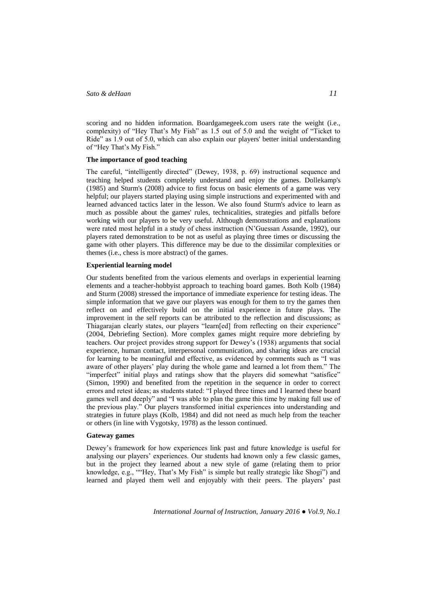scoring and no hidden information. Boardgamegeek.com users rate the weight (i.e., complexity) of "Hey That's My Fish" as  $1.5$  out of  $5.0$  and the weight of "Ticket to Ride" as 1.9 out of 5.0, which can also explain our players' better initial understanding of "Hey That's My Fish."

### **The importance of good teaching**

The careful, "intelligently directed" (Dewey, 1938, p. 69) instructional sequence and teaching helped students completely understand and enjoy the games. Dollekamp's (1985) and Sturm's (2008) advice to first focus on basic elements of a game was very helpful; our players started playing using simple instructions and experimented with and learned advanced tactics later in the lesson. We also found Sturm's advice to learn as much as possible about the games' rules, technicalities, strategies and pitfalls before working with our players to be very useful. Although demonstrations and explanations were rated most helpful in a study of chess instruction (N'Guessan Assande, 1992), our players rated demonstration to be not as useful as playing three times or discussing the game with other players. This difference may be due to the dissimilar complexities or themes (i.e., chess is more abstract) of the games.

### **Experiential learning model**

Our students benefited from the various elements and overlaps in experiential learning elements and a teacher-hobbyist approach to teaching board games. Both Kolb (1984) and Sturm (2008) stressed the importance of immediate experience for testing ideas. The simple information that we gave our players was enough for them to try the games then reflect on and effectively build on the initial experience in future plays. The improvement in the self reports can be attributed to the reflection and discussions; as Thiagarajan clearly states, our players "learn[ed] from reflecting on their experience" (2004, Debriefing Section). More complex games might require more debriefing by teachers. Our project provides strong support for Dewey's (1938) arguments that social experience, human contact, interpersonal communication, and sharing ideas are crucial for learning to be meaningful and effective, as evidenced by comments such as "I was aware of other players' play during the whole game and learned a lot from them." The "imperfect" initial plays and ratings show that the players did somewhat "satisfice" (Simon, 1990) and benefited from the repetition in the sequence in order to correct errors and retest ideas; as students stated: "I played three times and I learned these board games well and deeply" and "I was able to plan the game this time by making full use of the previous play." Our players transformed initial experiences into understanding and strategies in future plays (Kolb, 1984) and did not need as much help from the teacher or others (in line with Vygotsky, 1978) as the lesson continued.

### **Gateway games**

Dewey's framework for how experiences link past and future knowledge is useful for analysing our players' experiences. Our students had known only a few classic games, but in the project they learned about a new style of game (relating them to prior knowledge, e.g., ""Hey, That's My Fish" is simple but really strategic like Shogi") and learned and played them well and enjoyably with their peers. The players' past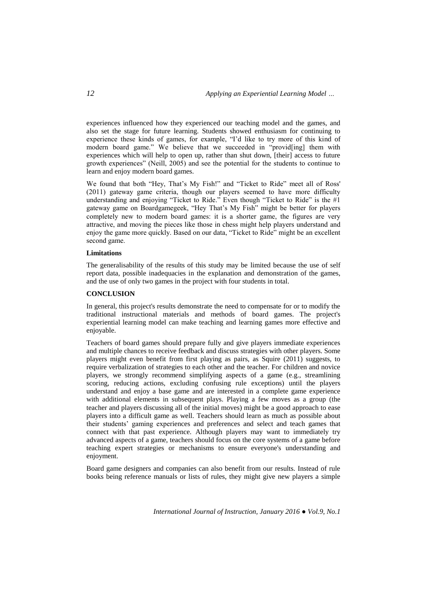experiences influenced how they experienced our teaching model and the games, and also set the stage for future learning. Students showed enthusiasm for continuing to experience these kinds of games, for example, "I'd like to try more of this kind of modern board game." We believe that we succeeded in "provid[ing] them with experiences which will help to open up, rather than shut down, [their] access to future growth experiences" (Neill, 2005) and see the potential for the students to continue to learn and enjoy modern board games.

We found that both "Hey, That's My Fish!" and "Ticket to Ride" meet all of Ross' (2011) gateway game criteria, though our players seemed to have more difficulty understanding and enjoying "Ticket to Ride." Even though "Ticket to Ride" is the #1 gateway game on Boardgamegeek, "Hey That's My Fish" might be better for players completely new to modern board games: it is a shorter game, the figures are very attractive, and moving the pieces like those in chess might help players understand and enjoy the game more quickly. Based on our data, "Ticket to Ride" might be an excellent second game.

### **Limitations**

The generalisability of the results of this study may be limited because the use of self report data, possible inadequacies in the explanation and demonstration of the games, and the use of only two games in the project with four students in total.

### **CONCLUSION**

In general, this project's results demonstrate the need to compensate for or to modify the traditional instructional materials and methods of board games. The project's experiential learning model can make teaching and learning games more effective and enjoyable.

Teachers of board games should prepare fully and give players immediate experiences and multiple chances to receive feedback and discuss strategies with other players. Some players might even benefit from first playing as pairs, as Squire (2011) suggests, to require verbalization of strategies to each other and the teacher. For children and novice players, we strongly recommend simplifying aspects of a game (e.g., streamlining scoring, reducing actions, excluding confusing rule exceptions) until the players understand and enjoy a base game and are interested in a complete game experience with additional elements in subsequent plays. Playing a few moves as a group (the teacher and players discussing all of the initial moves) might be a good approach to ease players into a difficult game as well. Teachers should learn as much as possible about their students' gaming experiences and preferences and select and teach games that connect with that past experience. Although players may want to immediately try advanced aspects of a game, teachers should focus on the core systems of a game before teaching expert strategies or mechanisms to ensure everyone's understanding and enjoyment.

Board game designers and companies can also benefit from our results. Instead of rule books being reference manuals or lists of rules, they might give new players a simple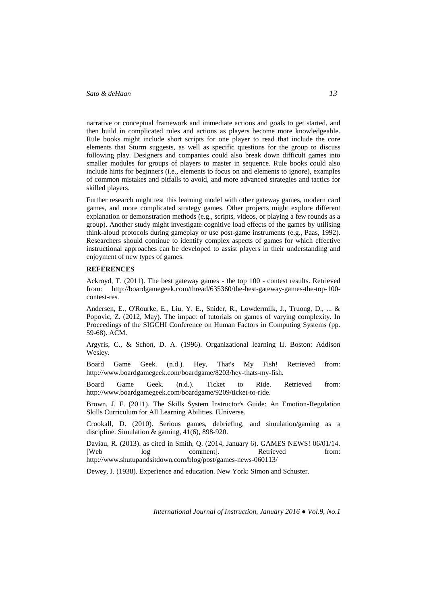narrative or conceptual framework and immediate actions and goals to get started, and then build in complicated rules and actions as players become more knowledgeable. Rule books might include short scripts for one player to read that include the core elements that Sturm suggests, as well as specific questions for the group to discuss following play. Designers and companies could also break down difficult games into smaller modules for groups of players to master in sequence. Rule books could also include hints for beginners (i.e., elements to focus on and elements to ignore), examples of common mistakes and pitfalls to avoid, and more advanced strategies and tactics for skilled players.

Further research might test this learning model with other gateway games, modern card games, and more complicated strategy games. Other projects might explore different explanation or demonstration methods (e.g., scripts, videos, or playing a few rounds as a group). Another study might investigate cognitive load effects of the games by utilising think-aloud protocols during gameplay or use post-game instruments (e.g., Paas, 1992). Researchers should continue to identify complex aspects of games for which effective instructional approaches can be developed to assist players in their understanding and enjoyment of new types of games.

#### **REFERENCES**

Ackroyd, T. (2011). The best gateway games - the top 100 - contest results. Retrieved from: [http://boardgamegeek.com/thread/635360/the-best-gateway-games-the-top-100](http://boardgamegeek.com/thread/635360/the-best-gateway-games-the-top-100-contest-res) [contest-res.](http://boardgamegeek.com/thread/635360/the-best-gateway-games-the-top-100-contest-res)

Andersen, E., O'Rourke, E., Liu, Y. E., Snider, R., Lowdermilk, J., Truong, D., ... & Popovic, Z. (2012, May). The impact of tutorials on games of varying complexity. In Proceedings of the SIGCHI Conference on Human Factors in Computing Systems (pp. 59-68). ACM.

Argyris, C., & Schon, D. A. (1996). Organizational learning II. Boston: Addison Wesley.

Board Game Geek. (n.d.). Hey, That's My Fish! Retrieved from: [http://www.boardgamegeek.com/boardgame/8203/hey-thats-my-fish.](http://www.boardgamegeek.com/boardgame/8203/hey-thats-my-fish)

Board Game Geek. (n.d.). Ticket to Ride. Retrieved from: [http://www.boardgamegeek.com/boardgame/9209/ticket-to-ride.](http://www.boardgamegeek.com/boardgame/9209/ticket-to-ride)

Brown, J. F. (2011). The Skills System Instructor's Guide: An Emotion-Regulation Skills Curriculum for All Learning Abilities. IUniverse.

Crookall, D. (2010). Serious games, debriefing, and simulation/gaming as a discipline. Simulation & gaming, 41(6), 898-920.

Daviau, R. (2013). as cited in Smith, Q. (2014, January 6). GAMES NEWS! 06/01/14.<br>
[Web log comment]. Retrieved from: comment]. http://www.shutupandsitdown.com/blog/post/games-news-060113/

Dewey, J. (1938). Experience and education. New York: Simon and Schuster.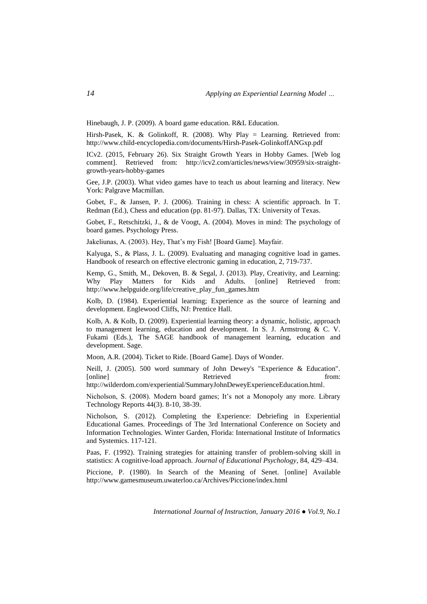Hinebaugh, J. P. (2009). A board game education. R&L Education.

Hirsh-Pasek, K. & Golinkoff, R. (2008). Why Play = Learning. Retrieved from: <http://www.child-encyclopedia.com/documents/Hirsh-Pasek-GolinkoffANGxp.pdf>

ICv2. (2015, February 26). Six Straight Growth Years in Hobby Games. [Web log comment]. Retrieved from: http://icv2.com/articles/news/view/30959/six-straightgrowth-years-hobby-games

Gee, J.P. (2003). What video games have to teach us about learning and literacy. New York: Palgrave Macmillan.

Gobet, F., & Jansen, P. J. (2006). Training in chess: A scientific approach. In T. Redman (Ed.), Chess and education (pp. 81-97). Dallas, TX: University of Texas.

Gobet, F., Retschitzki, J., & de Voogt, A. (2004). Moves in mind: The psychology of board games. Psychology Press.

Jakeliunas, A. (2003). Hey, That's my Fish! [Board Game]. Mayfair.

Kalyuga, S., & Plass, J. L. (2009). Evaluating and managing cognitive load in games. Handbook of research on effective electronic gaming in education, 2, 719-737.

Kemp, G., Smith, M., Dekoven, B. & Segal, J. (2013). Play, Creativity, and Learning: Why Play Matters for Kids and Adults. [online] Retrieved from: [http://www.helpguide.org/life/creative\\_play\\_fun\\_games.htm](http://www.helpguide.org/life/creative_play_fun_games.htm)

Kolb, D. (1984). Experiential learning; Experience as the source of learning and development. Englewood Cliffs, NJ: Prentice Hall.

Kolb, A. & Kolb, D. (2009). Experiential learning theory: a dynamic, holistic, approach to management learning, education and development. In S. J. Armstrong & C. V. Fukami (Eds.), The SAGE handbook of management learning, education and development. Sage.

Moon, A.R. (2004). Ticket to Ride. [Board Game]. Days of Wonder.

Neill, J. (2005). 500 word summary of John Dewey's "Experience & Education". [online] Retrieved from:

[http://wilderdom.com/experiential/SummaryJohnDeweyExperienceEducation.html.](http://wilderdom.com/experiential/SummaryJohnDeweyExperienceEducation.html)

Nicholson, S. (2008). Modern board games; It's not a Monopoly any more. Library Technology Reports 44(3). 8-10, 38-39.

Nicholson, S. (2012). Completing the Experience: Debriefing in Experiential Educational Games. Proceedings of The 3rd International Conference on Society and Information Technologies. Winter Garden, Florida: International Institute of Informatics and Systemics. 117-121.

Paas, F. (1992). Training strategies for attaining transfer of problem-solving skill in statistics: A cognitive-load approach. *Journal of Educational Psychology*, 84, 429–434.

Piccione, P. (1980). [In Search of the Meaning of Senet.](http://www.gamesmuseum.uwaterloo.ca/Archives/Piccione/index.html) [online] Available <http://www.gamesmuseum.uwaterloo.ca/Archives/Piccione/index.html>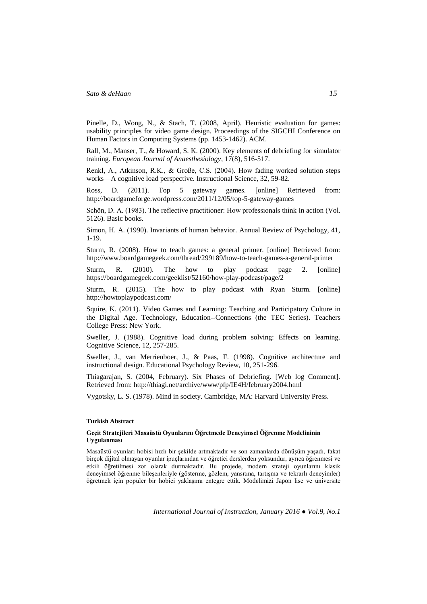Pinelle, D., Wong, N., & Stach, T. (2008, April). Heuristic evaluation for games: usability principles for video game design. Proceedings of the SIGCHI Conference on Human Factors in Computing Systems (pp. 1453-1462). ACM.

Rall, M., Manser, T., & Howard, S. K. (2000). Key elements of debriefing for simulator training. *European Journal of Anaesthesiology*, 17(8), 516-517.

Renkl, A., Atkinson, R.K., & Große, C.S. (2004). How fading worked solution steps works—A cognitive load perspective. Instructional Science, 32, 59-82.

Ross, D. (2011). Top 5 gateway games. [online] Retrieved from: [http://boardgameforge.wordpress.com/2011/12/05/top-5-gateway-games](http://boardgameforge.wordpress.com/2011/12/05/top-5-gateway-games/)

Schön, D. A. (1983). The reflective practitioner: How professionals think in action (Vol. 5126). Basic books.

Simon, H. A. (1990). Invariants of human behavior. Annual Review of Psychology, 41, 1-19.

Sturm, R. (2008). How to teach games: a general primer. [online] Retrieved from: <http://www.boardgamegeek.com/thread/299189/how-to-teach-games-a-general-primer>

Sturm, R. (2010). The how to play podcast page 2. [online] <https://boardgamegeek.com/geeklist/52160/how-play-podcast/page/2>

Sturm, R. (2015). The how to play podcast with Ryan Sturm. [online] <http://howtoplaypodcast.com/>

Squire, K. (2011). Video Games and Learning: Teaching and Participatory Culture in the Digital Age. Technology, Education--Connections (the TEC Series). Teachers College Press: New York.

Sweller, J. (1988). Cognitive load during problem solving: Effects on learning. Cognitive Science, 12, 257-285.

Sweller, J., van Merrienboer, J., & Paas, F. (1998). Cognitive architecture and instructional design. Educational Psychology Review, 10, 251-296.

Thiagarajan, S. (2004, February). Six Phases of Debriefing. [Web log Comment]. Retrieved from:<http://thiagi.net/archive/www/pfp/IE4H/february2004.html>

Vygotsky, L. S. (1978). Mind in society. Cambridge, MA: Harvard University Press.

### **Turkish Abstract**

### **Geçit Stratejileri Masaüstü Oyunlarını Öğretmede Deneyimsel Öğrenme Modelininin Uygulanması**

Masaüstü oyunları hobisi hızlı bir şekilde artmaktadır ve son zamanlarda dönüşüm yaşadı, fakat birçok dijital olmayan oyunlar ipuçlarından ve öğretici derslerden yoksundur, ayrıca öğrenmesi ve etkili öğretilmesi zor olarak durmaktadır. Bu projede, modern strateji oyunlarını klasik deneyimsel öğrenme bileşenleriyle (gösterme, gözlem, yansıtma, tartışma ve tekrarlı deneyimler) öğretmek için popüler bir hobici yaklaşımı entegre ettik. Modelimizi Japon lise ve üniversite